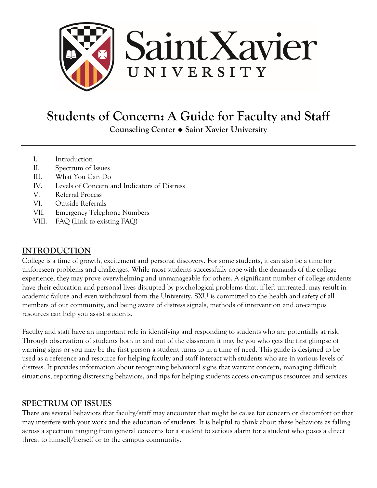

# **Students of Concern: A Guide for Faculty and Staff**

**Counseling Center Saint Xavier University**

- I. Introduction
- II. Spectrum of Issues
- III. What You Can Do
- IV. Levels of Concern and Indicators of Distress
- V. Referral Process
- VI. Outside Referrals
- VII. Emergency Telephone Numbers
- VIII. FAQ (Link to existing FAQ)

# **INTRODUCTION**

College is a time of growth, excitement and personal discovery. For some students, it can also be a time for unforeseen problems and challenges. While most students successfully cope with the demands of the college experience, they may prove overwhelming and unmanageable for others. A significant number of college students have their education and personal lives disrupted by psychological problems that, if left untreated, may result in academic failure and even withdrawal from the University. SXU is committed to the health and safety of all members of our community, and being aware of distress signals, methods of intervention and on-campus resources can help you assist students.

Faculty and staff have an important role in identifying and responding to students who are potentially at risk. Through observation of students both in and out of the classroom it may be you who gets the first glimpse of warning signs or you may be the first person a student turns to in a time of need. This guide is designed to be used as a reference and resource for helping faculty and staff interact with students who are in various levels of distress. It provides information about recognizing behavioral signs that warrant concern, managing difficult situations, reporting distressing behaviors, and tips for helping students access on-campus resources and services.

# **SPECTRUM OF ISSUES**

There are several behaviors that faculty/staff may encounter that might be cause for concern or discomfort or that may interfere with your work and the education of students. It is helpful to think about these behaviors as falling across a spectrum ranging from general concerns for a student to serious alarm for a student who poses a direct threat to himself/herself or to the campus community.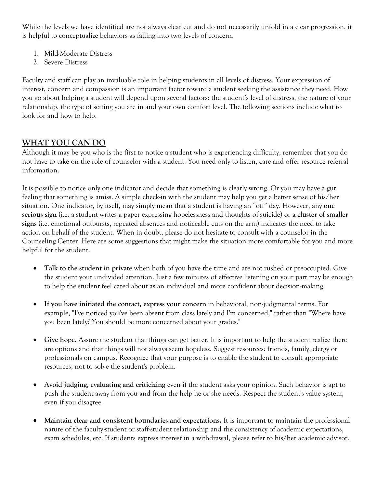While the levels we have identified are not always clear cut and do not necessarily unfold in a clear progression, it is helpful to conceptualize behaviors as falling into two levels of concern.

- 1. Mild-Moderate Distress
- 2. Severe Distress

Faculty and staff can play an invaluable role in helping students in all levels of distress. Your expression of interest, concern and compassion is an important factor toward a student seeking the assistance they need. How you go about helping a student will depend upon several factors: the student's level of distress, the nature of your relationship, the type of setting you are in and your own comfort level. The following sections include what to look for and how to help.

# **WHAT YOU CAN DO**

Although it may be you who is the first to notice a student who is experiencing difficulty, remember that you do not have to take on the role of counselor with a student. You need only to listen, care and offer resource referral information.

It is possible to notice only one indicator and decide that something is clearly wrong. Or you may have a gut feeling that something is amiss. A simple check-in with the student may help you get a better sense of his/her situation. One indicator, by itself, may simply mean that a student is having an "off" day. However, any **one serious sign** (i.e. a student writes a paper expressing hopelessness and thoughts of suicide) or **a cluster of smaller signs** (i.e. emotional outbursts, repeated absences and noticeable cuts on the arm) indicates the need to take action on behalf of the student. When in doubt, please do not hesitate to consult with a counselor in the Counseling Center. Here are some suggestions that might make the situation more comfortable for you and more helpful for the student.

- **Talk to the student in private** when both of you have the time and are not rushed or preoccupied. Give the student your undivided attention. Just a few minutes of effective listening on your part may be enough to help the student feel cared about as an individual and more confident about decision-making.
- **If you have initiated the contact, express your concern** in behavioral, non-judgmental terms. For example, "I've noticed you've been absent from class lately and I'm concerned," rather than "Where have you been lately? You should be more concerned about your grades."
- Give hope. Assure the student that things can get better. It is important to help the student realize there are options and that things will not always seem hopeless. Suggest resources: friends, family, clergy or professionals on campus. Recognize that your purpose is to enable the student to consult appropriate resources, not to solve the student's problem.
- **Avoid judging, evaluating and criticizing** even if the student asks your opinion. Such behavior is apt to push the student away from you and from the help he or she needs. Respect the student's value system, even if you disagree.
- **Maintain clear and consistent boundaries and expectations.** It is important to maintain the professional nature of the faculty-student or staff-student relationship and the consistency of academic expectations, exam schedules, etc. If students express interest in a withdrawal, please refer to his/her academic advisor.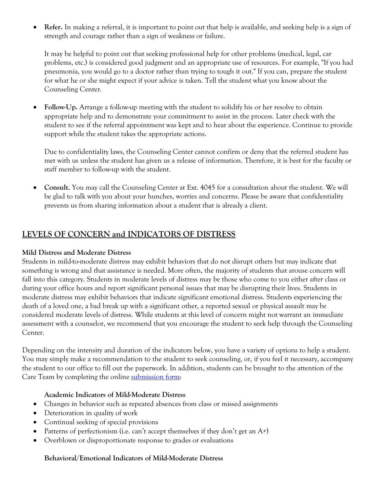• **Refer.** In making a referral, it is important to point out that help is available, and seeking help is a sign of strength and courage rather than a sign of weakness or failure.

It may be helpful to point out that seeking professional help for other problems (medical, legal, car problems, etc.) is considered good judgment and an appropriate use of resources. For example, "If you had pneumonia, you would go to a doctor rather than trying to tough it out." If you can, prepare the student for what he or she might expect if your advice is taken. Tell the student what you know about the Counseling Center.

• **Follow-Up.** Arrange a follow-up meeting with the student to solidify his or her resolve to obtain appropriate help and to demonstrate your commitment to assist in the process. Later check with the student to see if the referral appointment was kept and to hear about the experience. Continue to provide support while the student takes the appropriate actions.

Due to confidentiality laws, the Counseling Center cannot confirm or deny that the referred student has met with us unless the student has given us a release of information. Therefore, it is best for the faculty or staff member to follow-up with the student.

• **Consult.** You may call the Counseling Center at Ext. 4045 for a consultation about the student. We will be glad to talk with you about your hunches, worries and concerns. Please be aware that confidentiality prevents us from sharing information about a student that is already a client.

## **LEVELS OF CONCERN and INDICATORS OF DISTRESS**

#### **Mild Distress and Moderate Distress**

Students in mild-to-moderate distress may exhibit behaviors that do not disrupt others but may indicate that something is wrong and that assistance is needed. More often, the majority of students that arouse concern will fall into this category. Students in moderate levels of distress may be those who come to you either after class or during your office hours and report significant personal issues that may be disrupting their lives. Students in moderate distress may exhibit behaviors that indicate significant emotional distress. Students experiencing the death of a loved one, a bad break up with a significant other, a reported sexual or physical assault may be considered moderate levels of distress. While students at this level of concern might not warrant an immediate assessment with a counselor, we recommend that you encourage the student to seek help through the Counseling Center.

Depending on the intensity and duration of the indicators below, you have a variety of options to help a student. You may simply make a recommendation to the student to seek counseling, or, if you feel it necessary, accompany the student to our office to fill out the paperwork. In addition, students can be brought to the attention of the Care Team by completing the online [submission form:](http://www.sxu.edu/student-life/student-affairs/dean-of-students/care/reporting-options.asp)

## **Academic Indicators of Mild-Moderate Distress**

- Changes in behavior such as repeated absences from class or missed assignments
- Deterioration in quality of work
- Continual seeking of special provisions
- Patterns of perfectionism (i.e. can't accept themselves if they don't get an  $A^+$ )
- Overblown or disproportionate response to grades or evaluations

#### **Behavioral/Emotional Indicators of Mild-Moderate Distress**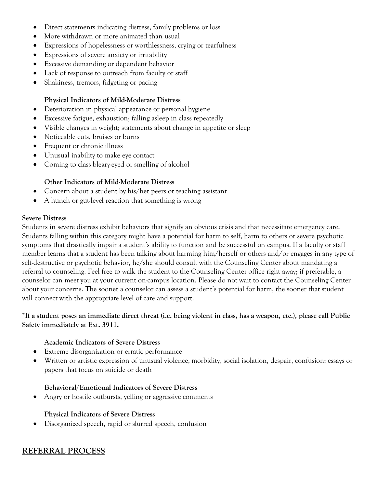- Direct statements indicating distress, family problems or loss
- More withdrawn or more animated than usual
- Expressions of hopelessness or worthlessness, crying or tearfulness
- Expressions of severe anxiety or irritability
- Excessive demanding or dependent behavior
- Lack of response to outreach from faculty or staff
- Shakiness, tremors, fidgeting or pacing

### **Physical Indicators of Mild-Moderate Distress**

- Deterioration in physical appearance or personal hygiene
- Excessive fatigue, exhaustion; falling asleep in class repeatedly
- Visible changes in weight; statements about change in appetite or sleep
- Noticeable cuts, bruises or burns
- Frequent or chronic illness
- Unusual inability to make eye contact
- Coming to class bleary-eyed or smelling of alcohol

#### **Other Indicators of Mild-Moderate Distress**

- Concern about a student by his/her peers or teaching assistant
- A hunch or gut-level reaction that something is wrong

#### **Severe Distress**

Students in severe distress exhibit behaviors that signify an obvious crisis and that necessitate emergency care. Students falling within this category might have a potential for harm to self, harm to others or severe psychotic symptoms that drastically impair a student's ability to function and be successful on campus. If a faculty or staff member learns that a student has been talking about harming him/herself or others and/or engages in any type of self-destructive or psychotic behavior, he/she should consult with the Counseling Center about mandating a referral to counseling. Feel free to walk the student to the Counseling Center office right away; if preferable, a counselor can meet you at your current on-campus location. Please do not wait to contact the Counseling Center about your concerns. The sooner a counselor can assess a student's potential for harm, the sooner that student will connect with the appropriate level of care and support.

#### **\*If a student poses an immediate direct threat (i.e. being violent in class, has a weapon, etc.), please call Public Safety immediately at Ext. 3911.**

#### **Academic Indicators of Severe Distress**

- Extreme disorganization or erratic performance
- Written or artistic expression of unusual violence, morbidity, social isolation, despair, confusion; essays or papers that focus on suicide or death

#### **Behavioral/Emotional Indicators of Severe Distress**

Angry or hostile outbursts, yelling or aggressive comments

## **Physical Indicators of Severe Distress**

• Disorganized speech, rapid or slurred speech, confusion

# **REFERRAL PROCESS**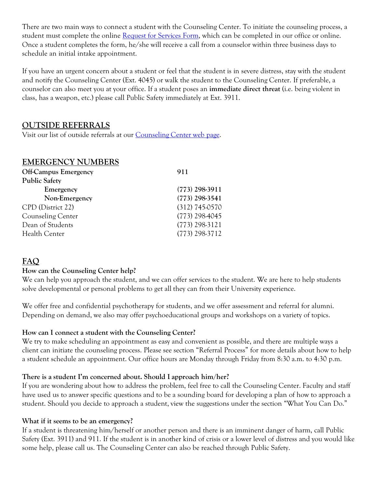There are two main ways to connect a student with the Counseling Center. To initiate the counseling process, a student must complete the online [Request for Services Form,](http://www.sxu.edu/student-life/counseling/request-for-services.asp) which can be completed in our office or online. Once a student completes the form, he/she will receive a call from a counselor within three business days to schedule an initial intake appointment.

If you have an urgent concern about a student or feel that the student is in severe distress, stay with the student and notify the Counseling Center (Ext. 4045) or walk the student to the Counseling Center. If preferable, a counselor can also meet you at your office. If a student poses an **immediate direct threat** (i.e. being violent in class, has a weapon, etc.) please call Public Safety immediately at Ext. 3911.

## **OUTSIDE REFERRALS**

Visit our list of outside referrals at our **Counseling Center web page.** 

## **EMERGENCY NUMBERS**

| <b>Off-Campus Emergency</b> | 911              |
|-----------------------------|------------------|
| <b>Public Safety</b>        |                  |
| Emergency                   | $(773)$ 298-3911 |
| Non-Emergency               | $(773)$ 298-3541 |
| CPD (District 22)           | $(312)$ 745-0570 |
| <b>Counseling Center</b>    | $(773)$ 298-4045 |
| Dean of Students            | $(773)$ 298-3121 |
| Health Center               | $(773)$ 298-3712 |
|                             |                  |

# **FAQ**

#### **How can the Counseling Center help?**

We can help you approach the student, and we can offer services to the student. We are here to help students solve developmental or personal problems to get all they can from their University experience.

We offer free and confidential psychotherapy for students, and we offer assessment and referral for alumni. Depending on demand, we also may offer psychoeducational groups and workshops on a variety of topics.

## **How can I connect a student with the Counseling Center?**

We try to make scheduling an appointment as easy and convenient as possible, and there are multiple ways a client can initiate the counseling process. Please see section "Referral Process" for more details about how to help a student schedule an appointment. Our office hours are Monday through Friday from 8:30 a.m. to 4:30 p.m.

#### **There is a student I'm concerned about. Should I approach him/her?**

If you are wondering about how to address the problem, feel free to call the Counseling Center. Faculty and staff have used us to answer specific questions and to be a sounding board for developing a plan of how to approach a student. Should you decide to approach a student, view the suggestions under the section "What You Can Do."

#### **What if it seems to be an emergency?**

If a student is threatening him/herself or another person and there is an imminent danger of harm, call Public Safety (Ext. 3911) and 911. If the student is in another kind of crisis or a lower level of distress and you would like some help, please call us. The Counseling Center can also be reached through Public Safety.